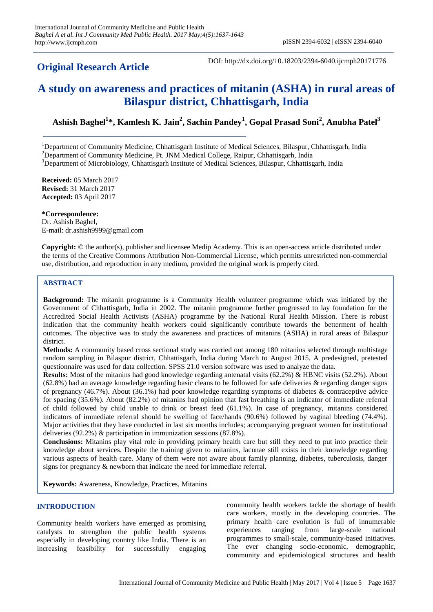# **Original Research Article**

DOI: http://dx.doi.org/10.18203/2394-6040.ijcmph20171776

# **A study on awareness and practices of mitanin (ASHA) in rural areas of Bilaspur district, Chhattisgarh, India**

# **Ashish Baghel<sup>1</sup> \*, Kamlesh K. Jain<sup>2</sup> , Sachin Pandey<sup>1</sup> , Gopal Prasad Soni<sup>2</sup> , Anubha Patel<sup>3</sup>**

<sup>1</sup>Department of Community Medicine, Chhattisgarh Institute of Medical Sciences, Bilaspur, Chhattisgarh, India

<sup>2</sup>Department of Community Medicine, Pt. JNM Medical College, Raipur, Chhattisgarh, India

<sup>3</sup>Department of Microbiology, Chhattisgarh Institute of Medical Sciences, Bilaspur, Chhattisgarh, India

**Received:** 05 March 2017 **Revised:** 31 March 2017 **Accepted:** 03 April 2017

**\*Correspondence:** Dr. Ashish Baghel, E-mail: dr.ashish9999@gmail.com

**Copyright:** © the author(s), publisher and licensee Medip Academy. This is an open-access article distributed under the terms of the Creative Commons Attribution Non-Commercial License, which permits unrestricted non-commercial use, distribution, and reproduction in any medium, provided the original work is properly cited.

# **ABSTRACT**

**Background:** The mitanin programme is a Community Health volunteer programme which was initiated by the Government of Chhattisgarh, India in 2002. The mitanin programme further progressed to lay foundation for the Accredited Social Health Activists (ASHA) programme by the National Rural Health Mission. There is robust indication that the community health workers could significantly contribute towards the betterment of health outcomes. The objective was to study the awareness and practices of mitanins (ASHA) in rural areas of Bilaspur district.

**Methods:** A community based cross sectional study was carried out among 180 mitanins selected through multistage random sampling in Bilaspur district, Chhattisgarh, India during March to August 2015. A predesigned, pretested questionnaire was used for data collection. SPSS 21.0 version software was used to analyze the data.

**Results:** Most of the mitanins had good knowledge regarding antenatal visits (62.2%) & HBNC visits (52.2%). About  $(62.8\%)$  had an average knowledge regarding basic cleans to be followed for safe deliveries & regarding danger signs of pregnancy (46.7%). About (36.1%) had poor knowledge regarding symptoms of diabetes & contraceptive advice for spacing (35.6%). About (82.2%) of mitanins had opinion that fast breathing is an indicator of immediate referral of child followed by child unable to drink or breast feed (61.1%). In case of pregnancy, mitanins considered indicators of immediate referral should be swelling of face/hands (90.6%) followed by vaginal bleeding (74.4%). Major activities that they have conducted in last six months includes; accompanying pregnant women for institutional deliveries (92.2%) & participation in immunization sessions (87.8%).

**Conclusions:** Mitanins play vital role in providing primary health care but still they need to put into practice their knowledge about services. Despite the training given to mitanins, lacunae still exists in their knowledge regarding various aspects of health care. Many of them were not aware about family planning, diabetes, tuberculosis, danger signs for pregnancy & newborn that indicate the need for immediate referral.

**Keywords:** Awareness, Knowledge, Practices, Mitanins

## **INTRODUCTION**

Community health workers have emerged as promising catalysts to strengthen the public health systems especially in developing country like India. There is an increasing feasibility for successfully engaging

community health workers tackle the shortage of health care workers, mostly in the developing countries. The primary health care evolution is full of innumerable experiences ranging from large-scale national programmes to small-scale, community-based initiatives. The ever changing socio-economic, demographic, community and epidemiological structures and health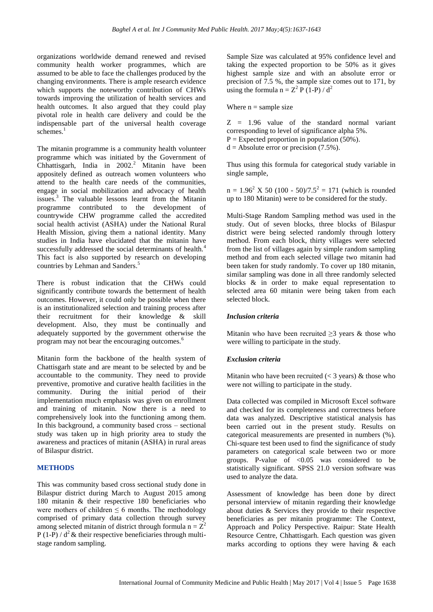organizations worldwide demand renewed and revised community health worker programmes, which are assumed to be able to face the challenges produced by the changing environments. There is ample research evidence which supports the noteworthy contribution of CHWs towards improving the utilization of health services and health outcomes. It also argued that they could play pivotal role in health care delivery and could be the indispensable part of the universal health coverage  $s$ chemes.<sup>1</sup>

The mitanin programme is a community health volunteer programme which was initiated by the Government of Chhattisgarh, India in 2002.<sup>2</sup> Mitanin have been appositely defined as outreach women volunteers who attend to the health care needs of the communities, engage in social mobilization and advocacy of health issues.<sup>3</sup> The valuable lessons learnt from the Mitanin programme contributed to the development of countrywide CHW programme called the accredited social health activist (ASHA) under the National Rural Health Mission, giving them a national identity. Many studies in India have elucidated that the mitanin have successfully addressed the social determinants of health.<sup>4</sup> This fact is also supported by research on developing countries by Lehman and Sanders. 5

There is robust indication that the CHWs could significantly contribute towards the betterment of health outcomes. However, it could only be possible when there is an institutionalized selection and training process after their recruitment for their knowledge & skill development. Also, they must be continually and adequately supported by the government otherwise the program may not bear the encouraging outcomes.<sup>6</sup>

Mitanin form the backbone of the health system of Chattisgarh state and are meant to be selected by and be accountable to the community. They need to provide preventive, promotive and curative health facilities in the community. During the initial period of their implementation much emphasis was given on enrollment and training of mitanin. Now there is a need to comprehensively look into the functioning among them. In this background, a community based cross – sectional study was taken up in high priority area to study the awareness and practices of mitanin (ASHA) in rural areas of Bilaspur district.

#### **METHODS**

This was community based cross sectional study done in Bilaspur district during March to August 2015 among 180 mitanin & their respective 180 beneficiaries who were mothers of children  $\leq 6$  months. The methodology comprised of primary data collection through survey among selected mitanin of district through formula  $n = Z^2$ P (1-P) /  $d^2$  & their respective beneficiaries through multistage random sampling.

Sample Size was calculated at 95% confidence level and taking the expected proportion to be 50% as it gives highest sample size and with an absolute error or precision of 7.5 %, the sample size comes out to 171, by using the formula  $n = Z^2 P (1-P) / d^2$ 

Where  $n =$  sample size

 $Z = 1.96$  value of the standard normal variant corresponding to level of significance alpha 5%.

 $P =$  Expected proportion in population (50%).

 $d =$  Absolute error or precision (7.5%).

Thus using this formula for categorical study variable in single sample,

 $n = 1.96<sup>2</sup>$  X 50 (100 - 50)/7.5<sup>2</sup> = 171 (which is rounded up to 180 Mitanin) were to be considered for the study.

Multi-Stage Random Sampling method was used in the study. Out of seven blocks, three blocks of Bilaspur district were being selected randomly through lottery method. From each block, thirty villages were selected from the list of villages again by simple random sampling method and from each selected village two mitanin had been taken for study randomly. To cover up 180 mitanin, similar sampling was done in all three randomly selected blocks & in order to make equal representation to selected area 60 mitanin were being taken from each selected block.

#### *Inclusion criteria*

Mitanin who have been recruited  $\geq$ 3 years & those who were willing to participate in the study.

#### *Exclusion criteria*

Mitanin who have been recruited  $(< 3$  years) & those who were not willing to participate in the study.

Data collected was compiled in Microsoft Excel software and checked for its completeness and correctness before data was analyzed. Descriptive statistical analysis has been carried out in the present study. Results on categorical measurements are presented in numbers (%). Chi-square test been used to find the significance of study parameters on categorical scale between two or more groups. P-value of  $< 0.05$  was considered to be statistically significant. SPSS 21.0 version software was used to analyze the data.

Assessment of knowledge has been done by direct personal interview of mitanin regarding their knowledge about duties & Services they provide to their respective beneficiaries as per mitanin programme: The Context, Approach and Policy Perspective. Raipur: State Health Resource Centre, Chhattisgarh. Each question was given marks according to options they were having  $\&$  each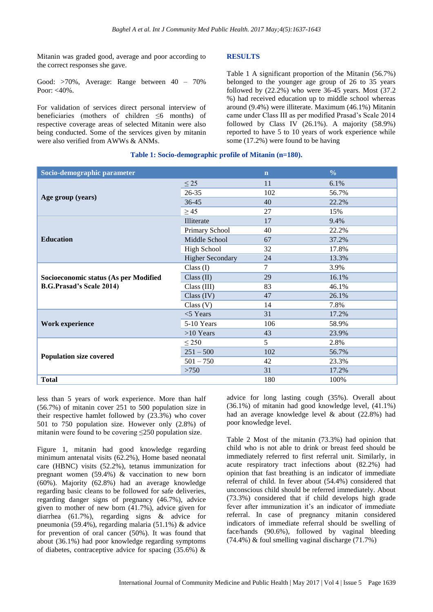Mitanin was graded good, average and poor according to the correct responses she gave.

Good: >70%, Average: Range between 40 – 70% Poor:  $<$ 40%.

For validation of services direct personal interview of beneficiaries (mothers of children ≤6 months) of respective coverage areas of selected Mitanin were also being conducted. Some of the services given by mitanin were also verified from AWWs & ANMs.

## **RESULTS**

Table 1 A significant proportion of the Mitanin (56.7%) belonged to the younger age group of 26 to 35 years followed by (22.2%) who were 36-45 years. Most (37.2 %) had received education up to middle school whereas around (9.4%) were illiterate. Maximum (46.1%) Mitanin came under Class III as per modified Prasad's Scale 2014 followed by Class IV  $(26.1\%)$ . A majority  $(58.9\%)$ reported to have 5 to 10 years of work experience while some (17.2%) were found to be having

#### **Table 1: Socio-demographic profile of Mitanin (n=180).**

| Socio-demographic parameter                                              |                         | $\mathbf n$ | $\frac{0}{0}$ |
|--------------------------------------------------------------------------|-------------------------|-------------|---------------|
| Age group (years)                                                        | $\leq$ 25               | 11          | 6.1%          |
|                                                                          | $26 - 35$               | 102         | 56.7%         |
|                                                                          | 36-45                   | 40          | 22.2%         |
|                                                                          | $\geq$ 45               | 27          | 15%           |
| <b>Education</b>                                                         | Illiterate              | 17          | 9.4%          |
|                                                                          | Primary School          | 40          | 22.2%         |
|                                                                          | Middle School           | 67          | 37.2%         |
|                                                                          | <b>High School</b>      | 32          | 17.8%         |
|                                                                          | <b>Higher Secondary</b> | 24          | 13.3%         |
| Socioeconomic status (As per Modified<br><b>B.G.Prasad's Scale 2014)</b> | Class $(I)$             | 7           | 3.9%          |
|                                                                          | Class $(II)$            | 29          | 16.1%         |
|                                                                          | Class (III)             | 83          | 46.1%         |
|                                                                          | Class (IV)              | 47          | 26.1%         |
|                                                                          | Class (V)               | 14          | 7.8%          |
| Work experience                                                          | $<$ 5 Years             | 31          | 17.2%         |
|                                                                          | 5-10 Years              | 106         | 58.9%         |
|                                                                          | $>10$ Years             | 43          | 23.9%         |
|                                                                          | $\leq$ 250              | 5           | 2.8%          |
| <b>Population size covered</b>                                           | $251 - 500$             | 102         | 56.7%         |
|                                                                          | $501 - 750$             | 42          | 23.3%         |
|                                                                          | >750                    | 31          | 17.2%         |
| <b>Total</b>                                                             |                         | 180         | 100%          |

less than 5 years of work experience. More than half (56.7%) of mitanin cover 251 to 500 population size in their respective hamlet followed by (23.3%) who cover 501 to 750 population size. However only (2.8%) of mitanin were found to be covering ≤250 population size.

Figure 1, mitanin had good knowledge regarding minimum antenatal visits (62.2%), Home based neonatal care (HBNC) visits (52.2%), tetanus immunization for pregnant women (59.4%) & vaccination to new born (60%). Majority (62.8%) had an average knowledge regarding basic cleans to be followed for safe deliveries, regarding danger signs of pregnancy (46.7%), advice given to mother of new born (41.7%), advice given for diarrhea (61.7%), regarding signs & advice for pneumonia (59.4%), regarding malaria (51.1%) & advice for prevention of oral cancer (50%). It was found that about (36.1%) had poor knowledge regarding symptoms of diabetes, contraceptive advice for spacing  $(35.6%)$  &

advice for long lasting cough (35%). Overall about (36.1%) of mitanin had good knowledge level, (41.1%) had an average knowledge level & about (22.8%) had poor knowledge level.

Table 2 Most of the mitanin (73.3%) had opinion that child who is not able to drink or breast feed should be immediately referred to first referral unit. Similarly, in acute respiratory tract infections about (82.2%) had opinion that fast breathing is an indicator of immediate referral of child. In fever about (54.4%) considered that unconscious child should be referred immediately. About (73.3%) considered that if child develops high grade fever after immunization it's an indicator of immediate referral. In case of pregnancy mitanin considered indicators of immediate referral should be swelling of face/hands (90.6%), followed by vaginal bleeding (74.4%) & foul smelling vaginal discharge (71.7%)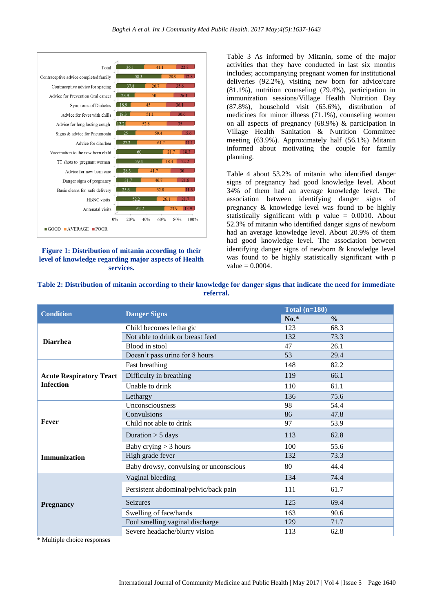

#### **Figure 1: Distribution of mitanin according to their level of knowledge regarding major aspects of Health services.**

Table 3 As informed by Mitanin, some of the major activities that they have conducted in last six months includes; accompanying pregnant women for institutional deliveries (92.2%), visiting new born for advice/care (81.1%), nutrition counseling (79.4%), participation in immunization sessions/Village Health Nutrition Day (87.8%), household visit (65.6%), distribution of medicines for minor illness (71.1%), counseling women on all aspects of pregnancy (68.9%) & participation in Village Health Sanitation & Nutrition Committee meeting (63.9%). Approximately half (56.1%) Mitanin informed about motivating the couple for family planning.

Table 4 about 53.2% of mitanin who identified danger signs of pregnancy had good knowledge level. About 34% of them had an average knowledge level. The association between identifying danger signs of pregnancy & knowledge level was found to be highly statistically significant with  $p$  value = 0.0010. About 52.3% of mitanin who identified danger signs of newborn had an average knowledge level. About 20.9% of them had good knowledge level. The association between identifying danger signs of newborn & knowledge level was found to be highly statistically significant with p  $value = 0.0004$ .

| <b>Condition</b>               |                                        | Total $(n=180)$ |               |  |
|--------------------------------|----------------------------------------|-----------------|---------------|--|
|                                | <b>Danger Signs</b>                    | $No.*$          | $\frac{0}{0}$ |  |
| <b>Diarrhea</b>                | Child becomes lethargic                | 123             | 68.3          |  |
|                                | Not able to drink or breast feed       | 132             | 73.3          |  |
|                                | Blood in stool                         | 47              | 26.1          |  |
|                                | Doesn't pass urine for 8 hours         | 53              | 29.4          |  |
| <b>Acute Respiratory Tract</b> | Fast breathing                         | 148             | 82.2          |  |
|                                | Difficulty in breathing                | 119             | 66.1          |  |
| <b>Infection</b>               | Unable to drink                        | 110             | 61.1          |  |
|                                | Lethargy                               | 136             | 75.6          |  |
| Fever                          | Unconsciousness                        | 98              | 54.4          |  |
|                                | Convulsions                            | 86              | 47.8          |  |
|                                | Child not able to drink                | 97              | 53.9          |  |
|                                | Duration $>$ 5 days                    | 113             | 62.8          |  |
| <b>Immunization</b>            | Baby crying $>$ 3 hours                | 100             | 55.6          |  |
|                                | High grade fever                       | 132             | 73.3          |  |
|                                | Baby drowsy, convulsing or unconscious | 80              | 44.4          |  |
| <b>Pregnancy</b>               | Vaginal bleeding                       | 134             | 74.4          |  |
|                                | Persistent abdominal/pelvic/back pain  | 111             | 61.7          |  |
|                                | <b>Seizures</b>                        | 125             | 69.4          |  |
|                                | Swelling of face/hands                 | 163             | 90.6          |  |
|                                | Foul smelling vaginal discharge        | 129             | 71.7          |  |
|                                | Severe headache/blurry vision          | 113             | 62.8          |  |

**Table 2: Distribution of mitanin according to their knowledge for danger signs that indicate the need for immediate referral.**

\* Multiple choice responses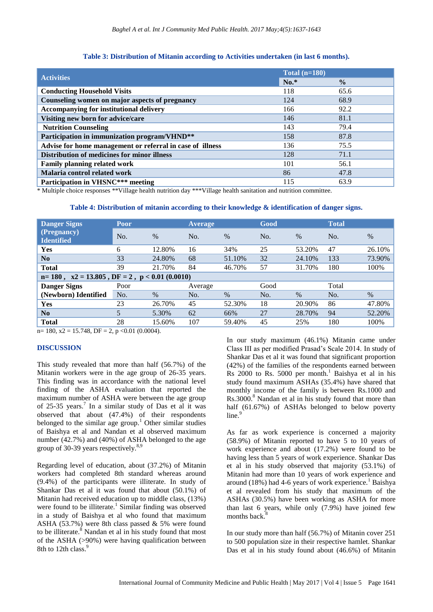#### **Table 3: Distribution of Mitanin according to Activities undertaken (in last 6 months).**

|                                                           | Total $(n=180)$ |               |  |
|-----------------------------------------------------------|-----------------|---------------|--|
| <b>Activities</b>                                         | $No.*$          | $\frac{0}{0}$ |  |
| <b>Conducting Household Visits</b>                        | 118             | 65.6          |  |
| Counseling women on major aspects of pregnancy            | 124             | 68.9          |  |
| <b>Accompanying for institutional delivery</b>            | 166             | 92.2          |  |
| Visiting new born for advice/care                         | 146             | 81.1          |  |
| <b>Nutrition Counseling</b>                               | 143             | 79.4          |  |
| Participation in immunization program/VHND**              | 158             | 87.8          |  |
| Advise for home management or referral in case of illness | 136             | 75.5          |  |
| Distribution of medicines for minor illness               | 128             | 71.1          |  |
| <b>Family planning related work</b>                       | 101             | 56.1          |  |
| Malaria control related work                              | 86              | 47.8          |  |
| Participation in VHSNC*** meeting                         | 115             | 63.9          |  |

\* Multiple choice responses \*\*Village health nutrition day \*\*\*Village health sanitation and nutrition committee.

#### **Table 4: Distribution of mitanin according to their knowledge & identification of danger signs.**

| <b>Danger Signs</b><br>(Pregnancy)<br><b>Identified</b>  | Poor             |        | Average |        | Good |        | <b>Total</b> |        |
|----------------------------------------------------------|------------------|--------|---------|--------|------|--------|--------------|--------|
|                                                          | N <sub>O</sub> . | $\%$   | No.     | $\%$   | No.  | $\%$   | No.          | $\%$   |
| Yes                                                      | 6                | 12.80% | 16      | 34%    | 25   | 53.20% | 47           | 26.10% |
| N <sub>0</sub>                                           | 33               | 24.80% | 68      | 51.10% | 32   | 24.10% | 133          | 73.90% |
| <b>Total</b>                                             | 39               | 21.70% | 84      | 46.70% | 57   | 31.70% | 180          | 100%   |
| $n=180$ , $x2 = 13.805$ , $DF = 2$ , $p < 0.01$ (0.0010) |                  |        |         |        |      |        |              |        |
| <b>Danger Signs</b>                                      | Poor             |        | Average |        | Good |        | Total        |        |
| (Newborn) Identified                                     | No.              | $\%$   | No.     | $\%$   | No.  | $\%$   | No.          | $\%$   |
| Yes                                                      | 23               | 26.70% | 45      | 52.30% | 18   | 20.90% | 86           | 47.80% |
| No                                                       | 5                | 5.30%  | 62      | 66%    | 27   | 28.70% | 94           | 52.20% |
| <b>Total</b>                                             | 28               | 15.60% | 107     | 59.40% | 45   | 25%    | 180          | 100%   |

 $n= 180$ ,  $x2 = 15.748$ ,  $DF = 2$ ,  $p < 0.01$  (0.0004).

#### **DISCUSSION**

This study revealed that more than half (56.7%) of the Mitanin workers were in the age group of 26-35 years. This finding was in accordance with the national level finding of the ASHA evaluation that reported the maximum number of ASHA were between the age group of 25-35 years.<sup>7</sup> In a similar study of Das et al it was observed that about (47.4%) of their respondents belonged to the similar age group.<sup>1</sup> Other similar studies of Baishya et al and Nandan et al observed maximum number (42.7%) and (40%) of ASHA belonged to the age group of 30-39 years respectively.<sup>8,9</sup>

Regarding level of education, about (37.2%) of Mitanin workers had completed 8th standard whereas around (9.4%) of the participants were illiterate. In study of Shankar Das et al it was found that about (50.1%) of Mitanin had received education up to middle class, (13%) were found to be illiterate.<sup>1</sup> Similar finding was observed in a study of Baishya et al who found that maximum ASHA (53.7%) were 8th class passed & 5% were found to be illiterate.<sup>8</sup> Nandan et al in his study found that most of the ASHA (>90%) were having qualification between 8th to 12th class. 9

In our study maximum (46.1%) Mitanin came under Class III as per modified Prasad's Scale 2014. In study of Shankar Das et al it was found that significant proportion (42%) of the families of the respondents earned between Rs  $2000$  to Rs. 5000 per month.<sup>1</sup> Baishya et al in his study found maximum ASHAs (35.4%) have shared that monthly income of the family is between Rs.1000 and Rs.3000.<sup>8</sup> Nandan et al in his study found that more than half (61.67%) of ASHAs belonged to below poverty line.<sup>9</sup>

As far as work experience is concerned a majority (58.9%) of Mitanin reported to have 5 to 10 years of work experience and about (17.2%) were found to be having less than 5 years of work experience. Shankar Das et al in his study observed that majority (53.1%) of Mitanin had more than 10 years of work experience and around  $(18%)$  had 4-6 years of work experience.<sup>1</sup> Baishya et al revealed from his study that maximum of the ASHAs (30.5%) have been working as ASHA for more than last 6 years, while only (7.9%) have joined few months back.

In our study more than half (56.7%) of Mitanin cover 251 to 500 population size in their respective hamlet. Shankar Das et al in his study found about (46.6%) of Mitanin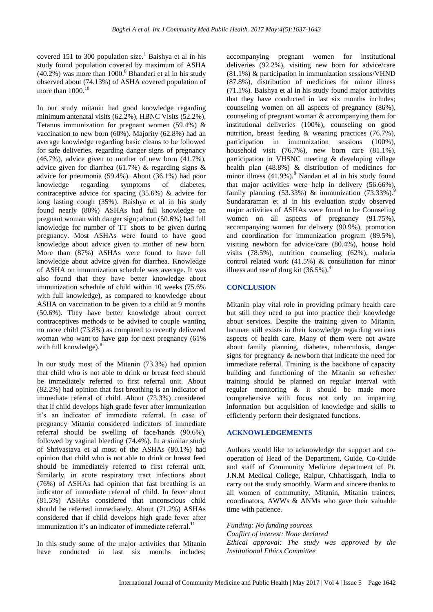covered 151 to 300 population size.<sup>1</sup> Baishya et al in his study found population covered by maximum of ASHA  $(40.2\%)$  was more than 1000.<sup>8</sup> Bhandari et al in his study observed about (74.13%) of ASHA covered population of more than  $1000$ .<sup>10</sup>

In our study mitanin had good knowledge regarding minimum antenatal visits (62.2%), HBNC Visits (52.2%), Tetanus immunization for pregnant women (59.4%)  $\&$ vaccination to new born (60%). Majority (62.8%) had an average knowledge regarding basic cleans to be followed for safe deliveries, regarding danger signs of pregnancy  $(46.7\%)$ , advice given to mother of new born  $(41.7\%)$ . advice given for diarrhea (61.7%) & regarding signs & advice for pneumonia (59.4%). About (36.1%) had poor knowledge regarding symptoms of diabetes, contraceptive advice for spacing (35.6%) & advice for long lasting cough (35%). Baishya et al in his study found nearly (80%) ASHAs had full knowledge on pregnant woman with danger sign; about (50.6%) had full knowledge for number of TT shots to be given during pregnancy. Most ASHAs were found to have good knowledge about advice given to mother of new born. More than (87%) ASHAs were found to have full knowledge about advice given for diarrhea. Knowledge of ASHA on immunization schedule was average. It was also found that they have better knowledge about immunization schedule of child within 10 weeks (75.6% with full knowledge), as compared to knowledge about ASHA on vaccination to be given to a child at 9 months (50.6%). They have better knowledge about correct contraceptives methods to be advised to couple wanting no more child (73.8%) as compared to recently delivered woman who want to have gap for next pregnancy (61% with full knowledge). $8$ 

In our study most of the Mitanin (73.3%) had opinion that child who is not able to drink or breast feed should be immediately referred to first referral unit. About (82.2%) had opinion that fast breathing is an indicator of immediate referral of child. About (73.3%) considered that if child develops high grade fever after immunization it's an indicator of immediate referral. In case of pregnancy Mitanin considered indicators of immediate referral should be swelling of face/hands (90.6%), followed by vaginal bleeding (74.4%). In a similar study of Shrivastava et al most of the ASHAs (80.1%) had opinion that child who is not able to drink or breast feed should be immediately referred to first referral unit. Similarly, in acute respiratory tract infections about (76%) of ASHAs had opinion that fast breathing is an indicator of immediate referral of child. In fever about (81.5%) ASHAs considered that unconscious child should be referred immediately. About (71.2%) ASHAs considered that if child develops high grade fever after immunization it's an indicator of immediate referral.<sup>11</sup>

In this study some of the major activities that Mitanin have conducted in last six months includes; accompanying pregnant women for institutional deliveries (92.2%), visiting new born for advice/care (81.1%) & participation in immunization sessions/VHND (87.8%), distribution of medicines for minor illness (71.1%). Baishya et al in his study found major activities that they have conducted in last six months includes; counseling women on all aspects of pregnancy (86%), counseling of pregnant woman & accompanying them for institutional deliveries (100%), counseling on good nutrition, breast feeding & weaning practices (76.7%), participation in immunization sessions (100%), household visit (76.7%), new born care (81.1%), participation in VHSNC meeting & developing village health plan (48.8%) & distribution of medicines for minor illness (41.9%).<sup>8</sup> Nandan et al in his study found that major activities were help in delivery (56.66%), family planning (53.33%) & immunization (73.33%).<sup>9</sup> Sundararaman et al in his evaluation study observed major activities of ASHAs were found to be Counseling women on all aspects of pregnancy (91.75%), accompanying women for delivery (90.9%), promotion and coordination for immunization program (89.5%), visiting newborn for advice/care (80.4%), house hold visits (78.5%), nutrition counseling (62%), malaria control related work (41.5%) & consultation for minor illness and use of drug kit  $(36.5\%)$ .<sup>4</sup>

## **CONCLUSION**

Mitanin play vital role in providing primary health care but still they need to put into practice their knowledge about services. Despite the training given to Mitanin, lacunae still exists in their knowledge regarding various aspects of health care. Many of them were not aware about family planning, diabetes, tuberculosis, danger signs for pregnancy & newborn that indicate the need for immediate referral. Training is the backbone of capacity building and functioning of the Mitanin so refresher training should be planned on regular interval with regular monitoring & it should be made more comprehensive with focus not only on imparting information but acquisition of knowledge and skills to efficiently perform their designated functions.

#### **ACKNOWLEDGEMENTS**

Authors would like to acknowledge the support and cooperation of Head of the Department, Guide, Co-Guide and staff of Community Medicine department of Pt. J.N.M Medical College, Raipur, Chhattisgarh, India to carry out the study smoothly. Warm and sincere thanks to all women of community, Mitanin, Mitanin trainers, coordinators, AWWs & ANMs who gave their valuable time with patience.

*Funding: No funding sources Conflict of interest: None declared Ethical approval: The study was approved by the Institutional Ethics Committee*